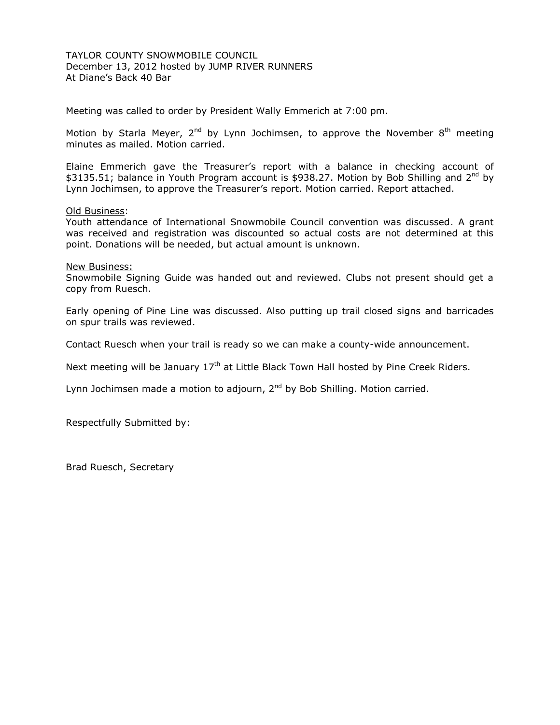TAYLOR COUNTY SNOWMOBILE COUNCIL December 13, 2012 hosted by JUMP RIVER RUNNERS At Diane's Back 40 Bar

Meeting was called to order by President Wally Emmerich at 7:00 pm.

Motion by Starla Meyer,  $2^{nd}$  by Lynn Jochimsen, to approve the November  $8^{th}$  meeting minutes as mailed. Motion carried.

Elaine Emmerich gave the Treasurer's report with a balance in checking account of \$3135.51; balance in Youth Program account is \$938.27. Motion by Bob Shilling and 2<sup>nd</sup> by Lynn Jochimsen, to approve the Treasurer's report. Motion carried. Report attached.

### Old Business:

Youth attendance of International Snowmobile Council convention was discussed. A grant was received and registration was discounted so actual costs are not determined at this point. Donations will be needed, but actual amount is unknown.

New Business:

Snowmobile Signing Guide was handed out and reviewed. Clubs not present should get a copy from Ruesch.

Early opening of Pine Line was discussed. Also putting up trail closed signs and barricades on spur trails was reviewed.

Contact Ruesch when your trail is ready so we can make a county-wide announcement.

Next meeting will be January  $17<sup>th</sup>$  at Little Black Town Hall hosted by Pine Creek Riders.

Lynn Jochimsen made a motion to adjourn,  $2^{nd}$  by Bob Shilling. Motion carried.

Respectfully Submitted by: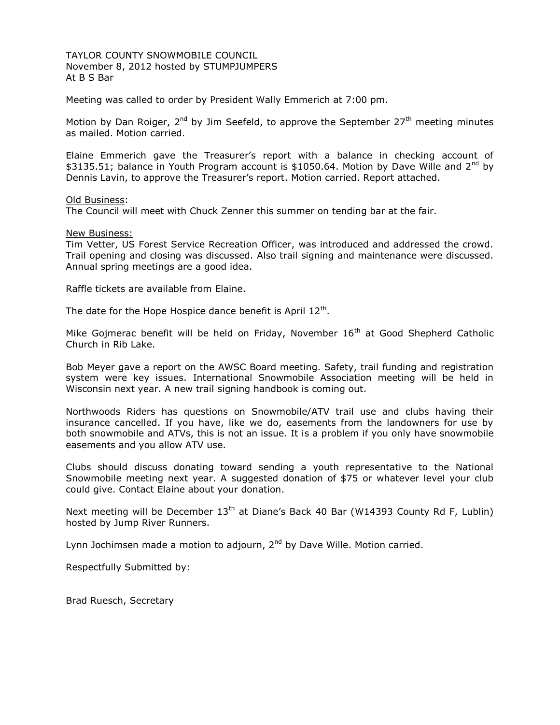TAYLOR COUNTY SNOWMOBILE COUNCIL November 8, 2012 hosted by STUMPJUMPERS At B S Bar

Meeting was called to order by President Wally Emmerich at 7:00 pm.

Motion by Dan Roiger,  $2^{nd}$  by Jim Seefeld, to approve the September  $27<sup>th</sup>$  meeting minutes as mailed. Motion carried.

Elaine Emmerich gave the Treasurer's report with a balance in checking account of \$3135.51; balance in Youth Program account is \$1050.64. Motion by Dave Wille and  $2^{nd}$  by Dennis Lavin, to approve the Treasurer's report. Motion carried. Report attached.

Old Business:

The Council will meet with Chuck Zenner this summer on tending bar at the fair.

New Business:

Tim Vetter, US Forest Service Recreation Officer, was introduced and addressed the crowd. Trail opening and closing was discussed. Also trail signing and maintenance were discussed. Annual spring meetings are a good idea.

Raffle tickets are available from Elaine.

The date for the Hope Hospice dance benefit is April  $12^{th}$ .

Mike Gojmerac benefit will be held on Friday, November 16<sup>th</sup> at Good Shepherd Catholic Church in Rib Lake.

Bob Meyer gave a report on the AWSC Board meeting. Safety, trail funding and registration system were key issues. International Snowmobile Association meeting will be held in Wisconsin next year. A new trail signing handbook is coming out.

Northwoods Riders has questions on Snowmobile/ATV trail use and clubs having their insurance cancelled. If you have, like we do, easements from the landowners for use by both snowmobile and ATVs, this is not an issue. It is a problem if you only have snowmobile easements and you allow ATV use.

Clubs should discuss donating toward sending a youth representative to the National Snowmobile meeting next year. A suggested donation of \$75 or whatever level your club could give. Contact Elaine about your donation.

Next meeting will be December  $13<sup>th</sup>$  at Diane's Back 40 Bar (W14393 County Rd F, Lublin) hosted by Jump River Runners.

Lynn Jochimsen made a motion to adjourn, 2<sup>nd</sup> by Dave Wille. Motion carried.

Respectfully Submitted by: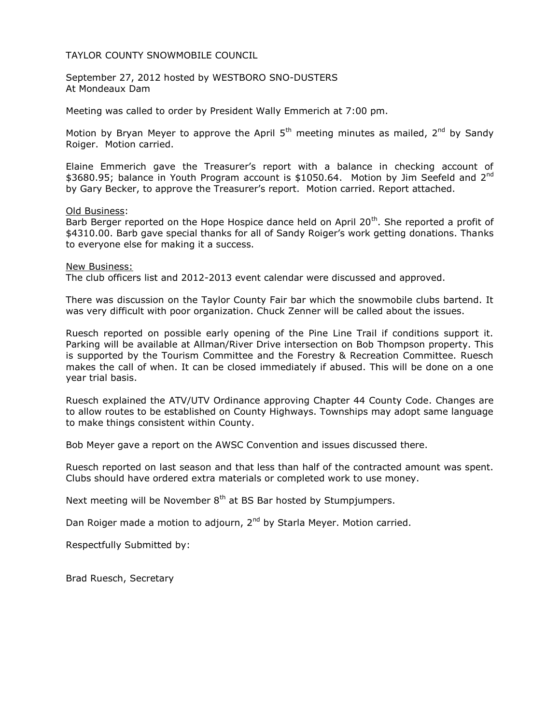September 27, 2012 hosted by WESTBORO SNO-DUSTERS At Mondeaux Dam

Meeting was called to order by President Wally Emmerich at 7:00 pm.

Motion by Bryan Meyer to approve the April  $5<sup>th</sup>$  meeting minutes as mailed,  $2<sup>nd</sup>$  by Sandy Roiger. Motion carried.

Elaine Emmerich gave the Treasurer's report with a balance in checking account of \$3680.95; balance in Youth Program account is \$1050.64. Motion by Jim Seefeld and 2<sup>nd</sup> by Gary Becker, to approve the Treasurer's report. Motion carried. Report attached.

### Old Business:

Barb Berger reported on the Hope Hospice dance held on April 20<sup>th</sup>. She reported a profit of \$4310.00. Barb gave special thanks for all of Sandy Roiger's work getting donations. Thanks to everyone else for making it a success.

#### New Business:

The club officers list and 2012-2013 event calendar were discussed and approved.

There was discussion on the Taylor County Fair bar which the snowmobile clubs bartend. It was very difficult with poor organization. Chuck Zenner will be called about the issues.

Ruesch reported on possible early opening of the Pine Line Trail if conditions support it. Parking will be available at Allman/River Drive intersection on Bob Thompson property. This is supported by the Tourism Committee and the Forestry & Recreation Committee. Ruesch makes the call of when. It can be closed immediately if abused. This will be done on a one year trial basis.

Ruesch explained the ATV/UTV Ordinance approving Chapter 44 County Code. Changes are to allow routes to be established on County Highways. Townships may adopt same language to make things consistent within County.

Bob Meyer gave a report on the AWSC Convention and issues discussed there.

Ruesch reported on last season and that less than half of the contracted amount was spent. Clubs should have ordered extra materials or completed work to use money.

Next meeting will be November  $8<sup>th</sup>$  at BS Bar hosted by Stumpjumpers.

Dan Roiger made a motion to adjourn, 2<sup>nd</sup> by Starla Meyer. Motion carried.

Respectfully Submitted by: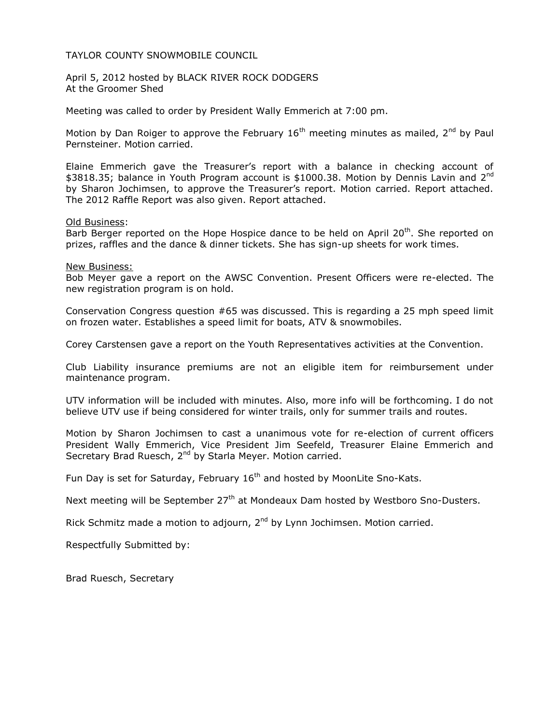April 5, 2012 hosted by BLACK RIVER ROCK DODGERS At the Groomer Shed

Meeting was called to order by President Wally Emmerich at 7:00 pm.

Motion by Dan Roiger to approve the February  $16<sup>th</sup>$  meeting minutes as mailed,  $2<sup>nd</sup>$  by Paul Pernsteiner. Motion carried.

Elaine Emmerich gave the Treasurer's report with a balance in checking account of \$3818.35; balance in Youth Program account is \$1000.38. Motion by Dennis Lavin and 2<sup>nd</sup> by Sharon Jochimsen, to approve the Treasurer's report. Motion carried. Report attached. The 2012 Raffle Report was also given. Report attached.

#### Old Business:

Barb Berger reported on the Hope Hospice dance to be held on April 20<sup>th</sup>. She reported on prizes, raffles and the dance & dinner tickets. She has sign-up sheets for work times.

#### New Business:

Bob Meyer gave a report on the AWSC Convention. Present Officers were re-elected. The new registration program is on hold.

Conservation Congress question #65 was discussed. This is regarding a 25 mph speed limit on frozen water. Establishes a speed limit for boats, ATV & snowmobiles.

Corey Carstensen gave a report on the Youth Representatives activities at the Convention.

Club Liability insurance premiums are not an eligible item for reimbursement under maintenance program.

UTV information will be included with minutes. Also, more info will be forthcoming. I do not believe UTV use if being considered for winter trails, only for summer trails and routes.

Motion by Sharon Jochimsen to cast a unanimous vote for re-election of current officers President Wally Emmerich, Vice President Jim Seefeld, Treasurer Elaine Emmerich and Secretary Brad Ruesch, 2<sup>nd</sup> by Starla Meyer. Motion carried.

Fun Day is set for Saturday, February 16<sup>th</sup> and hosted by MoonLite Sno-Kats.

Next meeting will be September 27<sup>th</sup> at Mondeaux Dam hosted by Westboro Sno-Dusters.

Rick Schmitz made a motion to adjourn, 2<sup>nd</sup> by Lynn Jochimsen. Motion carried.

Respectfully Submitted by: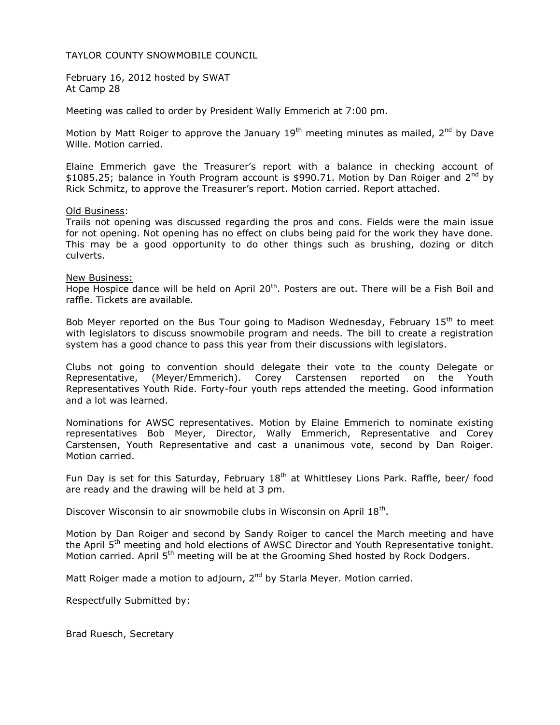February 16, 2012 hosted by SWAT At Camp 28

Meeting was called to order by President Wally Emmerich at 7:00 pm.

Motion by Matt Roiger to approve the January  $19<sup>th</sup>$  meeting minutes as mailed,  $2<sup>nd</sup>$  by Dave Wille. Motion carried.

Elaine Emmerich gave the Treasurer's report with a balance in checking account of  $$1085.25$ ; balance in Youth Program account is \$990.71. Motion by Dan Roiger and 2<sup>nd</sup> by Rick Schmitz, to approve the Treasurer's report. Motion carried. Report attached.

### Old Business:

Trails not opening was discussed regarding the pros and cons. Fields were the main issue for not opening. Not opening has no effect on clubs being paid for the work they have done. This may be a good opportunity to do other things such as brushing, dozing or ditch culverts.

### New Business:

Hope Hospice dance will be held on April  $20<sup>th</sup>$ . Posters are out. There will be a Fish Boil and raffle. Tickets are available.

Bob Meyer reported on the Bus Tour going to Madison Wednesday, February  $15<sup>th</sup>$  to meet with legislators to discuss snowmobile program and needs. The bill to create a registration system has a good chance to pass this year from their discussions with legislators.

Clubs not going to convention should delegate their vote to the county Delegate or Representative, (Meyer/Emmerich). Corey Carstensen reported on the Youth Representatives Youth Ride. Forty-four youth reps attended the meeting. Good information and a lot was learned.

Nominations for AWSC representatives. Motion by Elaine Emmerich to nominate existing representatives Bob Meyer, Director, Wally Emmerich, Representative and Corey Carstensen, Youth Representative and cast a unanimous vote, second by Dan Roiger. Motion carried.

Fun Day is set for this Saturday, February 18<sup>th</sup> at Whittlesey Lions Park. Raffle, beer/ food are ready and the drawing will be held at 3 pm.

Discover Wisconsin to air snowmobile clubs in Wisconsin on April 18<sup>th</sup>.

Motion by Dan Roiger and second by Sandy Roiger to cancel the March meeting and have the April 5<sup>th</sup> meeting and hold elections of AWSC Director and Youth Representative tonight. Motion carried. April  $5<sup>th</sup>$  meeting will be at the Grooming Shed hosted by Rock Dodgers.

Matt Roiger made a motion to adjourn, 2<sup>nd</sup> by Starla Meyer. Motion carried.

Respectfully Submitted by: